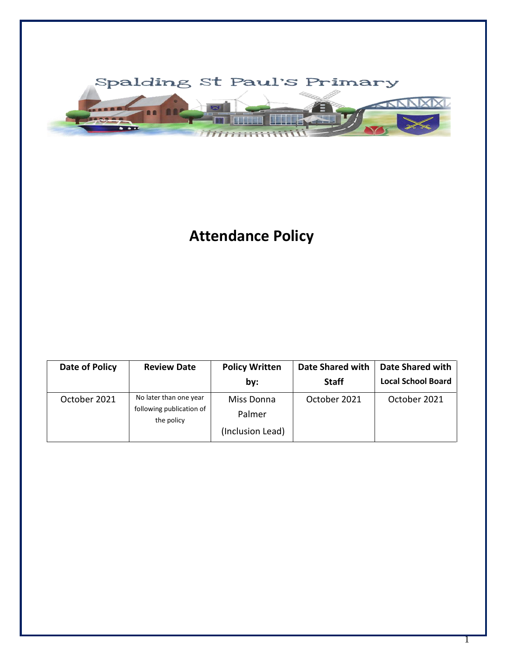

# **Attendance Policy**

| Date of Policy | <b>Review Date</b>                                               | <b>Policy Written</b><br>by:             | Date Shared with<br><b>Staff</b> | Date Shared with<br><b>Local School Board</b> |
|----------------|------------------------------------------------------------------|------------------------------------------|----------------------------------|-----------------------------------------------|
| October 2021   | No later than one year<br>following publication of<br>the policy | Miss Donna<br>Palmer<br>(Inclusion Lead) | October 2021                     | October 2021                                  |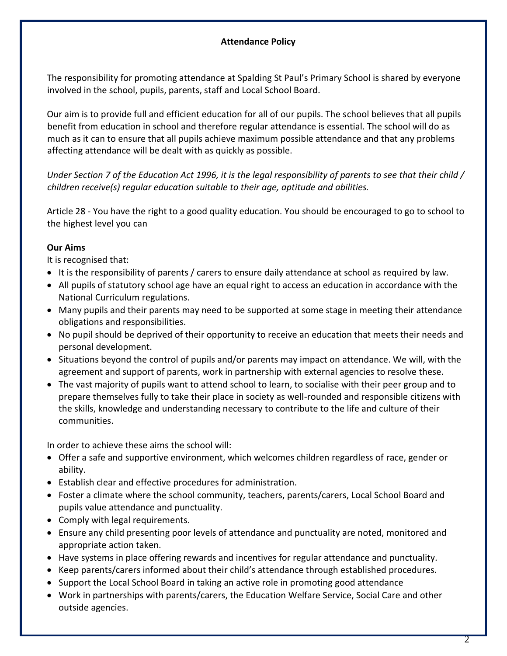## **Attendance Policy**

The responsibility for promoting attendance at Spalding St Paul's Primary School is shared by everyone involved in the school, pupils, parents, staff and Local School Board.

Our aim is to provide full and efficient education for all of our pupils. The school believes that all pupils benefit from education in school and therefore regular attendance is essential. The school will do as much as it can to ensure that all pupils achieve maximum possible attendance and that any problems affecting attendance will be dealt with as quickly as possible.

*Under Section 7 of the Education Act 1996, it is the legal responsibility of parents to see that their child / children receive(s) regular education suitable to their age, aptitude and abilities.*

Article 28 - You have the right to a good quality education. You should be encouraged to go to school to the highest level you can

# **Our Aims**

It is recognised that:

- It is the responsibility of parents / carers to ensure daily attendance at school as required by law.
- All pupils of statutory school age have an equal right to access an education in accordance with the National Curriculum regulations.
- Many pupils and their parents may need to be supported at some stage in meeting their attendance obligations and responsibilities.
- No pupil should be deprived of their opportunity to receive an education that meets their needs and personal development.
- Situations beyond the control of pupils and/or parents may impact on attendance. We will, with the agreement and support of parents, work in partnership with external agencies to resolve these.
- The vast majority of pupils want to attend school to learn, to socialise with their peer group and to prepare themselves fully to take their place in society as well-rounded and responsible citizens with the skills, knowledge and understanding necessary to contribute to the life and culture of their communities.

In order to achieve these aims the school will:

- Offer a safe and supportive environment, which welcomes children regardless of race, gender or ability.
- Establish clear and effective procedures for administration.
- Foster a climate where the school community, teachers, parents/carers, Local School Board and pupils value attendance and punctuality.
- Comply with legal requirements.
- Ensure any child presenting poor levels of attendance and punctuality are noted, monitored and appropriate action taken.
- Have systems in place offering rewards and incentives for regular attendance and punctuality.
- Keep parents/carers informed about their child's attendance through established procedures.
- Support the Local School Board in taking an active role in promoting good attendance
- Work in partnerships with parents/carers, the Education Welfare Service, Social Care and other outside agencies.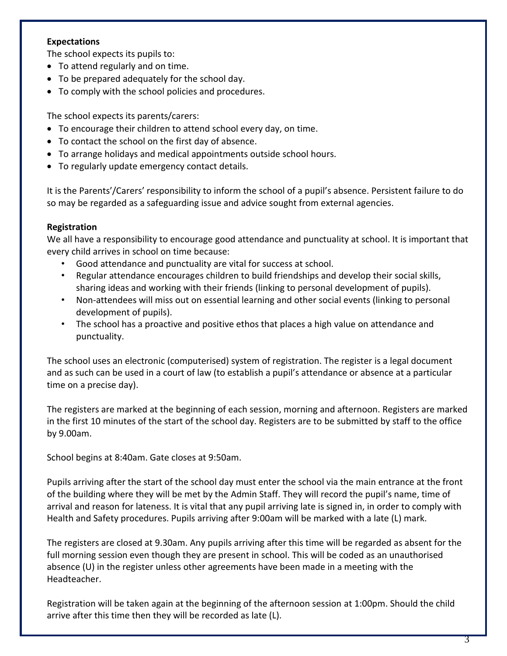## **Expectations**

The school expects its pupils to:

- To attend regularly and on time.
- To be prepared adequately for the school day.
- To comply with the school policies and procedures.

The school expects its parents/carers:

- To encourage their children to attend school every day, on time.
- To contact the school on the first day of absence.
- To arrange holidays and medical appointments outside school hours.
- To regularly update emergency contact details.

It is the Parents'/Carers' responsibility to inform the school of a pupil's absence. Persistent failure to do so may be regarded as a safeguarding issue and advice sought from external agencies.

# **Registration**

We all have a responsibility to encourage good attendance and punctuality at school. It is important that every child arrives in school on time because:

- Good attendance and punctuality are vital for success at school.
- Regular attendance encourages children to build friendships and develop their social skills, sharing ideas and working with their friends (linking to personal development of pupils).
- Non-attendees will miss out on essential learning and other social events (linking to personal development of pupils).
- The school has a proactive and positive ethos that places a high value on attendance and punctuality.

The school uses an electronic (computerised) system of registration. The register is a legal document and as such can be used in a court of law (to establish a pupil's attendance or absence at a particular time on a precise day).

The registers are marked at the beginning of each session, morning and afternoon. Registers are marked in the first 10 minutes of the start of the school day. Registers are to be submitted by staff to the office by 9.00am.

School begins at 8:40am. Gate closes at 9:50am.

Pupils arriving after the start of the school day must enter the school via the main entrance at the front of the building where they will be met by the Admin Staff. They will record the pupil's name, time of arrival and reason for lateness. It is vital that any pupil arriving late is signed in, in order to comply with Health and Safety procedures. Pupils arriving after 9:00am will be marked with a late (L) mark.

The registers are closed at 9.30am. Any pupils arriving after this time will be regarded as absent for the full morning session even though they are present in school. This will be coded as an unauthorised absence (U) in the register unless other agreements have been made in a meeting with the Headteacher.

Registration will be taken again at the beginning of the afternoon session at 1:00pm. Should the child arrive after this time then they will be recorded as late (L).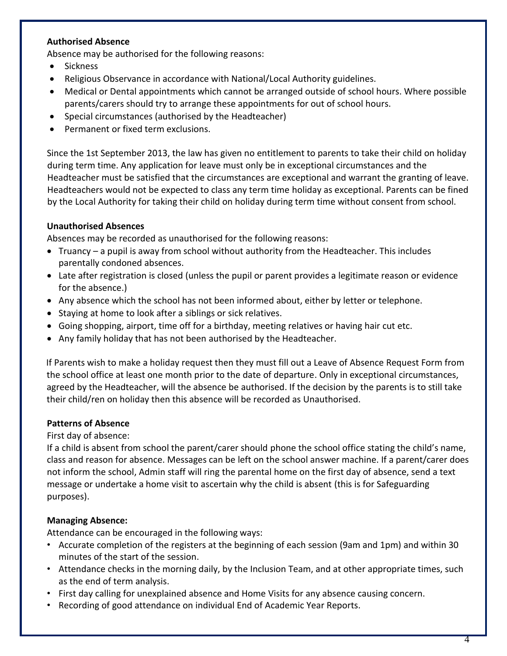## **Authorised Absence**

Absence may be authorised for the following reasons:

- Sickness
- Religious Observance in accordance with National/Local Authority guidelines.
- Medical or Dental appointments which cannot be arranged outside of school hours. Where possible parents/carers should try to arrange these appointments for out of school hours.
- Special circumstances (authorised by the Headteacher)
- Permanent or fixed term exclusions.

Since the 1st September 2013, the law has given no entitlement to parents to take their child on holiday during term time. Any application for leave must only be in exceptional circumstances and the Headteacher must be satisfied that the circumstances are exceptional and warrant the granting of leave. Headteachers would not be expected to class any term time holiday as exceptional. Parents can be fined by the Local Authority for taking their child on holiday during term time without consent from school.

#### **Unauthorised Absences**

Absences may be recorded as unauthorised for the following reasons:

- Truancy a pupil is away from school without authority from the Headteacher. This includes parentally condoned absences.
- Late after registration is closed (unless the pupil or parent provides a legitimate reason or evidence for the absence.)
- Any absence which the school has not been informed about, either by letter or telephone.
- Staying at home to look after a siblings or sick relatives.
- Going shopping, airport, time off for a birthday, meeting relatives or having hair cut etc.
- Any family holiday that has not been authorised by the Headteacher.

If Parents wish to make a holiday request then they must fill out a Leave of Absence Request Form from the school office at least one month prior to the date of departure. Only in exceptional circumstances, agreed by the Headteacher, will the absence be authorised. If the decision by the parents is to still take their child/ren on holiday then this absence will be recorded as Unauthorised.

# **Patterns of Absence**

#### First day of absence:

If a child is absent from school the parent/carer should phone the school office stating the child's name, class and reason for absence. Messages can be left on the school answer machine. If a parent/carer does not inform the school, Admin staff will ring the parental home on the first day of absence, send a text message or undertake a home visit to ascertain why the child is absent (this is for Safeguarding purposes).

# **Managing Absence:**

Attendance can be encouraged in the following ways:

- Accurate completion of the registers at the beginning of each session (9am and 1pm) and within 30 minutes of the start of the session.
- Attendance checks in the morning daily, by the Inclusion Team, and at other appropriate times, such as the end of term analysis.
- First day calling for unexplained absence and Home Visits for any absence causing concern.
- Recording of good attendance on individual End of Academic Year Reports.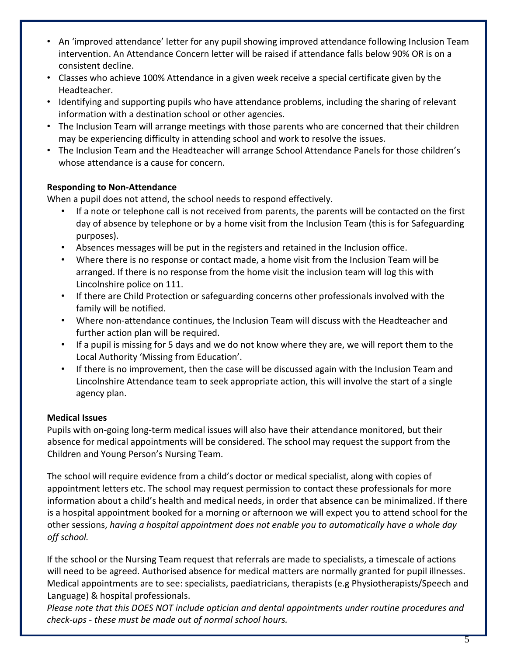- An 'improved attendance' letter for any pupil showing improved attendance following Inclusion Team intervention. An Attendance Concern letter will be raised if attendance falls below 90% OR is on a consistent decline.
- Classes who achieve 100% Attendance in a given week receive a special certificate given by the Headteacher.
- Identifying and supporting pupils who have attendance problems, including the sharing of relevant information with a destination school or other agencies.
- The Inclusion Team will arrange meetings with those parents who are concerned that their children may be experiencing difficulty in attending school and work to resolve the issues.
- The Inclusion Team and the Headteacher will arrange School Attendance Panels for those children's whose attendance is a cause for concern.

# **Responding to Non-Attendance**

When a pupil does not attend, the school needs to respond effectively.

- If a note or telephone call is not received from parents, the parents will be contacted on the first day of absence by telephone or by a home visit from the Inclusion Team (this is for Safeguarding purposes).
- Absences messages will be put in the registers and retained in the Inclusion office.
- Where there is no response or contact made, a home visit from the Inclusion Team will be arranged. If there is no response from the home visit the inclusion team will log this with Lincolnshire police on 111.
- If there are Child Protection or safeguarding concerns other professionals involved with the family will be notified.
- Where non-attendance continues, the Inclusion Team will discuss with the Headteacher and further action plan will be required.
- If a pupil is missing for 5 days and we do not know where they are, we will report them to the Local Authority 'Missing from Education'.
- If there is no improvement, then the case will be discussed again with the Inclusion Team and Lincolnshire Attendance team to seek appropriate action, this will involve the start of a single agency plan.

# **Medical Issues**

Pupils with on-going long-term medical issues will also have their attendance monitored, but their absence for medical appointments will be considered. The school may request the support from the Children and Young Person's Nursing Team.

The school will require evidence from a child's doctor or medical specialist, along with copies of appointment letters etc. The school may request permission to contact these professionals for more information about a child's health and medical needs, in order that absence can be minimalized. If there is a hospital appointment booked for a morning or afternoon we will expect you to attend school for the other sessions, *having a hospital appointment does not enable you to automatically have a whole day off school.* 

If the school or the Nursing Team request that referrals are made to specialists, a timescale of actions will need to be agreed. Authorised absence for medical matters are normally granted for pupil illnesses. Medical appointments are to see: specialists, paediatricians, therapists (e.g Physiotherapists/Speech and Language) & hospital professionals.

*Please note that this DOES NOT include optician and dental appointments under routine procedures and check-ups - these must be made out of normal school hours.*